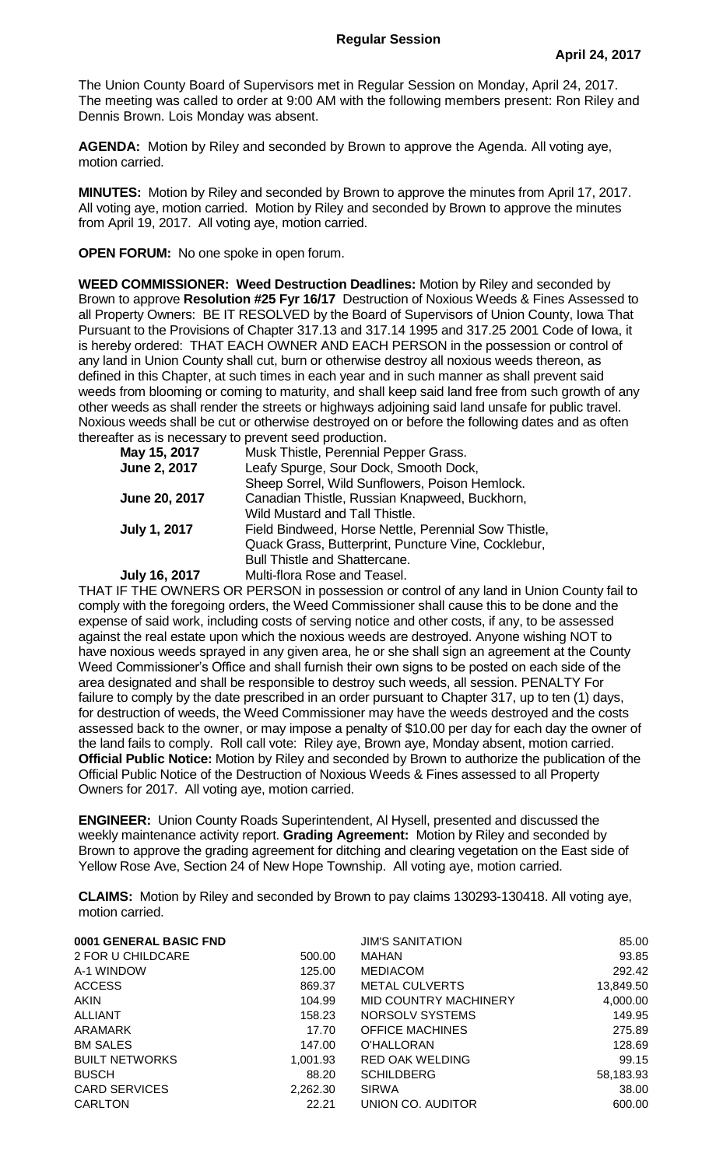The Union County Board of Supervisors met in Regular Session on Monday, April 24, 2017. The meeting was called to order at 9:00 AM with the following members present: Ron Riley and Dennis Brown. Lois Monday was absent.

**AGENDA:** Motion by Riley and seconded by Brown to approve the Agenda. All voting aye, motion carried.

**MINUTES:** Motion by Riley and seconded by Brown to approve the minutes from April 17, 2017. All voting aye, motion carried. Motion by Riley and seconded by Brown to approve the minutes from April 19, 2017. All voting aye, motion carried.

**OPEN FORUM:** No one spoke in open forum.

**WEED COMMISSIONER: Weed Destruction Deadlines:** Motion by Riley and seconded by Brown to approve **Resolution #25 Fyr 16/17** Destruction of Noxious Weeds & Fines Assessed to all Property Owners: BE IT RESOLVED by the Board of Supervisors of Union County, Iowa That Pursuant to the Provisions of Chapter 317.13 and 317.14 1995 and 317.25 2001 Code of Iowa, it is hereby ordered: THAT EACH OWNER AND EACH PERSON in the possession or control of any land in Union County shall cut, burn or otherwise destroy all noxious weeds thereon, as defined in this Chapter, at such times in each year and in such manner as shall prevent said weeds from blooming or coming to maturity, and shall keep said land free from such growth of any other weeds as shall render the streets or highways adjoining said land unsafe for public travel. Noxious weeds shall be cut or otherwise destroyed on or before the following dates and as often thereafter as is necessary to prevent seed production.

| May 15, 2017         | Musk Thistle, Perennial Pepper Grass.                |
|----------------------|------------------------------------------------------|
| June 2, 2017         | Leafy Spurge, Sour Dock, Smooth Dock,                |
|                      | Sheep Sorrel, Wild Sunflowers, Poison Hemlock.       |
| June 20, 2017        | Canadian Thistle, Russian Knapweed, Buckhorn,        |
|                      | Wild Mustard and Tall Thistle.                       |
| <b>July 1, 2017</b>  | Field Bindweed, Horse Nettle, Perennial Sow Thistle, |
|                      | Quack Grass, Butterprint, Puncture Vine, Cocklebur,  |
|                      | <b>Bull Thistle and Shattercane.</b>                 |
| <b>July 16, 2017</b> | Multi-flora Rose and Teasel.                         |

THAT IF THE OWNERS OR PERSON in possession or control of any land in Union County fail to comply with the foregoing orders, the Weed Commissioner shall cause this to be done and the expense of said work, including costs of serving notice and other costs, if any, to be assessed against the real estate upon which the noxious weeds are destroyed. Anyone wishing NOT to have noxious weeds sprayed in any given area, he or she shall sign an agreement at the County Weed Commissioner's Office and shall furnish their own signs to be posted on each side of the area designated and shall be responsible to destroy such weeds, all session. PENALTY For failure to comply by the date prescribed in an order pursuant to Chapter 317, up to ten (1) days, for destruction of weeds, the Weed Commissioner may have the weeds destroyed and the costs assessed back to the owner, or may impose a penalty of \$10.00 per day for each day the owner of the land fails to comply. Roll call vote: Riley aye, Brown aye, Monday absent, motion carried. **Official Public Notice:** Motion by Riley and seconded by Brown to authorize the publication of the Official Public Notice of the Destruction of Noxious Weeds & Fines assessed to all Property Owners for 2017. All voting aye, motion carried.

**ENGINEER:** Union County Roads Superintendent, Al Hysell, presented and discussed the weekly maintenance activity report. **Grading Agreement:** Motion by Riley and seconded by Brown to approve the grading agreement for ditching and clearing vegetation on the East side of Yellow Rose Ave, Section 24 of New Hope Township. All voting aye, motion carried.

**CLAIMS:** Motion by Riley and seconded by Brown to pay claims 130293-130418. All voting aye, motion carried.

| 0001 GENERAL BASIC FND |          | <b>JIM'S SANITATION</b> | 85.00     |
|------------------------|----------|-------------------------|-----------|
| 2 FOR U CHILDCARE      | 500.00   | <b>MAHAN</b>            | 93.85     |
| A-1 WINDOW             | 125.00   | <b>MEDIACOM</b>         | 292.42    |
| <b>ACCESS</b>          | 869.37   | <b>METAL CULVERTS</b>   | 13,849.50 |
| <b>AKIN</b>            | 104.99   | MID COUNTRY MACHINERY   | 4,000.00  |
| <b>ALLIANT</b>         | 158.23   | NORSOLV SYSTEMS         | 149.95    |
| ARAMARK                | 17.70    | <b>OFFICE MACHINES</b>  | 275.89    |
| <b>BM SALES</b>        | 147.00   | O'HALLORAN              | 128.69    |
| <b>BUILT NETWORKS</b>  | 1,001.93 | <b>RED OAK WELDING</b>  | 99.15     |
| <b>BUSCH</b>           | 88.20    | <b>SCHILDBERG</b>       | 58,183.93 |
| <b>CARD SERVICES</b>   | 2,262.30 | <b>SIRWA</b>            | 38.00     |
| CARLTON                | 22.21    | UNION CO. AUDITOR       | 600.00    |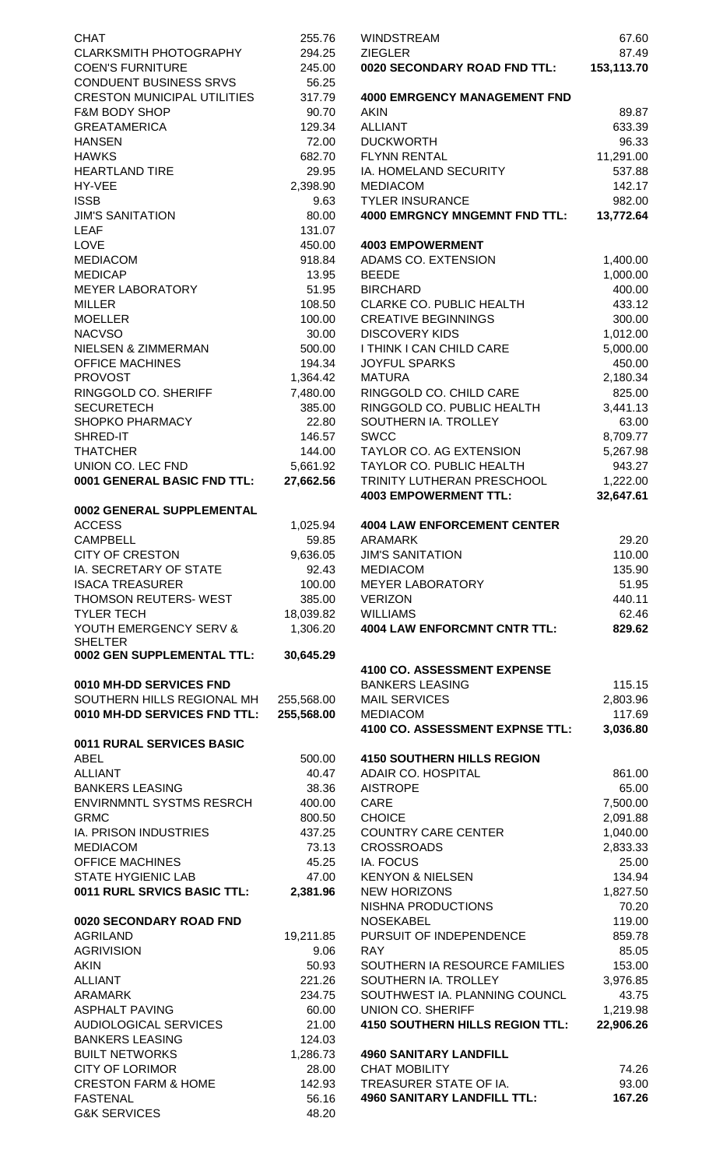| <b>CHAT</b>                                               | 255.76             | <b>WINDSTREAM</b><br><b>ZIEGLER</b>                        |
|-----------------------------------------------------------|--------------------|------------------------------------------------------------|
| <b>CLARKSMITH PHOTOGRAPHY</b><br><b>COEN'S FURNITURE</b>  | 294.25<br>245.00   | 0020 SECONDARY ROAD FND TTL:                               |
| <b>CONDUENT BUSINESS SRVS</b>                             | 56.25              |                                                            |
| <b>CRESTON MUNICIPAL UTILITIES</b>                        | 317.79             | <b>4000 EMRGENCY MANAGEMENT FND</b>                        |
| <b>F&amp;M BODY SHOP</b><br><b>GREATAMERICA</b>           | 90.70<br>129.34    | <b>AKIN</b><br><b>ALLIANT</b>                              |
| <b>HANSEN</b>                                             | 72.00              | <b>DUCKWORTH</b>                                           |
| <b>HAWKS</b>                                              | 682.70             | <b>FLYNN RENTAL</b>                                        |
| <b>HEARTLAND TIRE</b>                                     | 29.95              | <b>IA. HOMELAND SECURITY</b>                               |
| HY-VEE                                                    | 2,398.90           | <b>MEDIACOM</b>                                            |
| <b>ISSB</b>                                               | 9.63<br>80.00      | <b>TYLER INSURANCE</b>                                     |
| <b>JIM'S SANITATION</b><br><b>LEAF</b>                    | 131.07             | <b>4000 EMRGNCY MNGEMNT FND TTL:</b>                       |
| <b>LOVE</b>                                               | 450.00             | <b>4003 EMPOWERMENT</b>                                    |
| <b>MEDIACOM</b>                                           | 918.84             | ADAMS CO. EXTENSION                                        |
| <b>MEDICAP</b>                                            | 13.95              | <b>BEEDE</b>                                               |
| <b>MEYER LABORATORY</b><br><b>MILLER</b>                  | 51.95              | <b>BIRCHARD</b><br><b>CLARKE CO. PUBLIC HEALTH</b>         |
| <b>MOELLER</b>                                            | 108.50<br>100.00   | <b>CREATIVE BEGINNINGS</b>                                 |
| <b>NACVSO</b>                                             | 30.00              | <b>DISCOVERY KIDS</b>                                      |
| NIELSEN & ZIMMERMAN                                       | 500.00             | I THINK I CAN CHILD CARE                                   |
| <b>OFFICE MACHINES</b>                                    | 194.34             | <b>JOYFUL SPARKS</b>                                       |
| <b>PROVOST</b><br>RINGGOLD CO. SHERIFF                    | 1,364.42           | <b>MATURA</b><br>RINGGOLD CO. CHILD CARE                   |
| <b>SECURETECH</b>                                         | 7,480.00<br>385.00 | RINGGOLD CO. PUBLIC HEALTH                                 |
| <b>SHOPKO PHARMACY</b>                                    | 22.80              | SOUTHERN IA. TROLLEY                                       |
| SHRED-IT                                                  | 146.57             | <b>SWCC</b>                                                |
| <b>THATCHER</b>                                           | 144.00             | <b>TAYLOR CO. AG EXTENSION</b>                             |
| UNION CO. LEC FND                                         | 5,661.92           | TAYLOR CO. PUBLIC HEALTH                                   |
| 0001 GENERAL BASIC FND TTL:                               | 27,662.56          | TRINITY LUTHERAN PRESCHOOL<br><b>4003 EMPOWERMENT TTL:</b> |
| 0002 GENERAL SUPPLEMENTAL                                 |                    |                                                            |
| <b>ACCESS</b>                                             | 1,025.94           | <b>4004 LAW ENFORCEMENT CENTER</b>                         |
| <b>CAMPBELL</b>                                           | 59.85              | <b>ARAMARK</b>                                             |
| <b>CITY OF CRESTON</b><br>IA. SECRETARY OF STATE          | 9,636.05<br>92.43  | <b>JIM'S SANITATION</b><br><b>MEDIACOM</b>                 |
| <b>ISACA TREASURER</b>                                    | 100.00             | <b>MEYER LABORATORY</b>                                    |
| THOMSON REUTERS- WEST                                     | 385.00             | <b>VERIZON</b>                                             |
| <b>TYLER TECH</b>                                         | 18,039.82          | <b>WILLIAMS</b>                                            |
| YOUTH EMERGENCY SERV &                                    | 1,306.20           | <b>4004 LAW ENFORCMNT CNTR TTL:</b>                        |
| <b>SHELTER</b><br>0002 GEN SUPPLEMENTAL TTL:              | 30,645.29          |                                                            |
|                                                           |                    | <b>4100 CO. ASSESSMENT EXPENSE</b>                         |
| 0010 MH-DD SERVICES FND                                   |                    | <b>BANKERS LEASING</b>                                     |
| SOUTHERN HILLS REGIONAL MH                                | 255,568.00         | <b>MAIL SERVICES</b>                                       |
| 0010 MH-DD SERVICES FND TTL:                              | 255,568.00         | <b>MEDIACOM</b><br>4100 CO. ASSESSMENT EXPNSE TTL:         |
| 0011 RURAL SERVICES BASIC                                 |                    |                                                            |
| <b>ABEL</b>                                               | 500.00             | <b>4150 SOUTHERN HILLS REGION</b>                          |
| <b>ALLIANT</b>                                            | 40.47              | ADAIR CO. HOSPITAL                                         |
| <b>BANKERS LEASING</b><br><b>ENVIRNMNTL SYSTMS RESRCH</b> | 38.36<br>400.00    | <b>AISTROPE</b><br>CARE                                    |
| <b>GRMC</b>                                               | 800.50             | <b>CHOICE</b>                                              |
| IA. PRISON INDUSTRIES                                     | 437.25             | <b>COUNTRY CARE CENTER</b>                                 |
| <b>MEDIACOM</b>                                           | 73.13              | <b>CROSSROADS</b>                                          |
| <b>OFFICE MACHINES</b>                                    | 45.25              | IA. FOCUS                                                  |
| <b>STATE HYGIENIC LAB</b><br>0011 RURL SRVICS BASIC TTL:  | 47.00<br>2,381.96  | <b>KENYON &amp; NIELSEN</b><br><b>NEW HORIZONS</b>         |
|                                                           |                    | <b>NISHNA PRODUCTIONS</b>                                  |
| 0020 SECONDARY ROAD FND                                   |                    | <b>NOSEKABEL</b>                                           |
| <b>AGRILAND</b>                                           | 19,211.85          | PURSUIT OF INDEPENDENCE                                    |
| <b>AGRIVISION</b>                                         | 9.06               | <b>RAY</b>                                                 |
| <b>AKIN</b><br><b>ALLIANT</b>                             | 50.93<br>221.26    | SOUTHERN IA RESOURCE FAMILIES<br>SOUTHERN IA. TROLLEY      |
| ARAMARK                                                   | 234.75             | SOUTHWEST IA. PLANNING COUNCL                              |
| <b>ASPHALT PAVING</b>                                     | 60.00              | <b>UNION CO. SHERIFF</b>                                   |
| AUDIOLOGICAL SERVICES                                     | 21.00              | <b>4150 SOUTHERN HILLS REGION TTL:</b>                     |
| <b>BANKERS LEASING</b>                                    | 124.03             |                                                            |
| <b>BUILT NETWORKS</b><br><b>CITY OF LORIMOR</b>           | 1,286.73<br>28.00  | <b>4960 SANITARY LANDFILL</b><br><b>CHAT MOBILITY</b>      |
| <b>CRESTON FARM &amp; HOME</b>                            | 142.93             | TREASURER STATE OF IA.                                     |
| <b>FASTENAL</b>                                           | 56.16              | <b>4960 SANITARY LANDFILL TTL:</b>                         |
| <b>G&amp;K SERVICES</b>                                   | 48.20              |                                                            |

| <b>CHAT</b>                                       | 255.76            | <b>WINDSTREAM</b>                           | 67.60            |
|---------------------------------------------------|-------------------|---------------------------------------------|------------------|
| <b>CLARKSMITH PHOTOGRAPHY</b>                     | 294.25            | <b>ZIEGLER</b>                              | 87.49            |
| <b>COEN'S FURNITURE</b>                           | 245.00            | 0020 SECONDARY ROAD FND TTL:                | 153,113.70       |
| CONDUENT BUSINESS SRVS                            | 56.25             |                                             |                  |
| <b>CRESTON MUNICIPAL UTILITIES</b>                | 317.79            | <b>4000 EMRGENCY MANAGEMENT FND</b>         |                  |
| <b>F&amp;M BODY SHOP</b>                          | 90.70             | <b>AKIN</b>                                 | 89.87            |
| <b>GREATAMERICA</b>                               | 129.34            | <b>ALLIANT</b>                              | 633.39           |
| <b>HANSEN</b>                                     | 72.00             | <b>DUCKWORTH</b>                            | 96.33            |
| <b>HAWKS</b>                                      | 682.70            | <b>FLYNN RENTAL</b>                         | 11,291.00        |
| <b>HEARTLAND TIRE</b>                             | 29.95             | IA. HOMELAND SECURITY                       | 537.88           |
| HY-VEE                                            | 2,398.90          | <b>MEDIACOM</b>                             | 142.17           |
| ISSB                                              | 9.63              | <b>TYLER INSURANCE</b>                      | 982.00           |
| <b>JIM'S SANITATION</b>                           | 80.00             | 4000 EMRGNCY MNGEMNT FND TTL:               | 13,772.64        |
| LEAF                                              | 131.07            |                                             |                  |
| LOVE                                              | 450.00            | <b>4003 EMPOWERMENT</b>                     |                  |
| <b>MEDIACOM</b>                                   | 918.84            | ADAMS CO. EXTENSION                         | 1,400.00         |
| <b>MEDICAP</b>                                    | 13.95             | <b>BEEDE</b>                                | 1,000.00         |
| <b>MEYER LABORATORY</b>                           | 51.95             | <b>BIRCHARD</b>                             | 400.00           |
| MILLER                                            | 108.50            | CLARKE CO. PUBLIC HEALTH                    | 433.12           |
| <b>MOELLER</b>                                    | 100.00            | <b>CREATIVE BEGINNINGS</b>                  | 300.00           |
| <b>NACVSO</b>                                     | 30.00             | <b>DISCOVERY KIDS</b>                       | 1,012.00         |
| NIELSEN & ZIMMERMAN                               | 500.00            | I THINK I CAN CHILD CARE                    | 5,000.00         |
| OFFICE MACHINES                                   | 194.34            | <b>JOYFUL SPARKS</b>                        | 450.00           |
| <b>PROVOST</b>                                    | 1,364.42          | <b>MATURA</b>                               | 2,180.34         |
| RINGGOLD CO. SHERIFF                              | 7,480.00          | RINGGOLD CO. CHILD CARE                     | 825.00           |
| <b>SECURETECH</b>                                 | 385.00            | RINGGOLD CO. PUBLIC HEALTH                  | 3,441.13         |
| SHOPKO PHARMACY                                   | 22.80             | SOUTHERN IA. TROLLEY                        | 63.00            |
| SHRED-IT                                          | 146.57            | <b>SWCC</b>                                 | 8,709.77         |
| THATCHER                                          | 144.00            | TAYLOR CO. AG EXTENSION                     | 5,267.98         |
| UNION CO. LEC FND                                 | 5,661.92          | TAYLOR CO. PUBLIC HEALTH                    | 943.27           |
| 0001 GENERAL BASIC FND TTL:                       | 27,662.56         | TRINITY LUTHERAN PRESCHOOL                  | 1,222.00         |
|                                                   |                   | <b>4003 EMPOWERMENT TTL:</b>                | 32,647.61        |
| 0002 GENERAL SUPPLEMENTAL                         |                   |                                             |                  |
| ACCESS<br><b>CAMPBELL</b>                         | 1,025.94<br>59.85 | <b>4004 LAW ENFORCEMENT CENTER</b>          |                  |
| <b>CITY OF CRESTON</b>                            | 9,636.05          | <b>ARAMARK</b><br><b>JIM'S SANITATION</b>   | 29.20<br>110.00  |
| IA. SECRETARY OF STATE                            | 92.43             | <b>MEDIACOM</b>                             | 135.90           |
| <b>ISACA TREASURER</b>                            | 100.00            | MEYER LABORATORY                            | 51.95            |
| THOMSON REUTERS-WEST                              | 385.00            | <b>VERIZON</b>                              | 440.11           |
| TYLER TECH                                        | 18,039.82         | <b>WILLIAMS</b>                             | 62.46            |
| YOUTH EMERGENCY SERV &                            | 1,306.20          | <b>4004 LAW ENFORCMNT CNTR TTL:</b>         | 829.62           |
| <b>SHELTER</b>                                    |                   |                                             |                  |
| 0002 GEN SUPPLEMENTAL TTL:                        | 30,645.29         |                                             |                  |
|                                                   |                   | 4100 CO. ASSESSMENT EXPENSE                 |                  |
| 0010 MH-DD SERVICES FND                           |                   | <b>BANKERS LEASING</b>                      | 115.15           |
| SOUTHERN HILLS REGIONAL MH                        | 255,568.00        | <b>MAIL SERVICES</b>                        | 2,803.96         |
| 0010 MH-DD SERVICES FND TTL:                      | 255,568.00        | <b>MEDIACOM</b>                             | 117.69           |
|                                                   |                   | 4100 CO. ASSESSMENT EXPNSE TTL:             | 3,036.80         |
| <b>0011 RURAL SERVICES BASIC</b>                  |                   |                                             |                  |
| ABEL                                              | 500.00            | <b>4150 SOUTHERN HILLS REGION</b>           |                  |
| <b>ALLIANT</b>                                    | 40.47             | ADAIR CO. HOSPITAL                          | 861.00           |
| <b>BANKERS LEASING</b>                            | 38.36             | <b>AISTROPE</b>                             | 65.00            |
| ENVIRNMNTL SYSTMS RESRCH                          | 400.00            | CARE                                        | 7,500.00         |
| <b>GRMC</b>                                       | 800.50            | <b>CHOICE</b>                               | 2,091.88         |
| IA. PRISON INDUSTRIES                             | 437.25            | <b>COUNTRY CARE CENTER</b>                  | 1,040.00         |
| <b>MEDIACOM</b>                                   | 73.13             | <b>CROSSROADS</b>                           | 2,833.33         |
| OFFICE MACHINES                                   | 45.25             | <b>IA. FOCUS</b>                            | 25.00            |
| <b>STATE HYGIENIC LAB</b>                         | 47.00             | <b>KENYON &amp; NIELSEN</b>                 | 134.94           |
| 0011 RURL SRVICS BASIC TTL:                       | 2,381.96          | <b>NEW HORIZONS</b>                         | 1,827.50         |
|                                                   |                   | NISHNA PRODUCTIONS                          | 70.20            |
| <b>0020 SECONDARY ROAD FND</b><br><b>AGRILAND</b> | 19,211.85         | <b>NOSEKABEL</b><br>PURSUIT OF INDEPENDENCE | 119.00<br>859.78 |
| <b>AGRIVISION</b>                                 | 9.06              | <b>RAY</b>                                  | 85.05            |
| AKIN                                              | 50.93             | SOUTHERN IA RESOURCE FAMILIES               | 153.00           |
| <b>ALLIANT</b>                                    | 221.26            | SOUTHERN IA. TROLLEY                        | 3,976.85         |
| ARAMARK                                           | 234.75            | SOUTHWEST IA. PLANNING COUNCL               | 43.75            |
| <b>ASPHALT PAVING</b>                             | 60.00             | <b>UNION CO. SHERIFF</b>                    | 1,219.98         |
| AUDIOLOGICAL SERVICES                             | 21.00             | <b>4150 SOUTHERN HILLS REGION TTL:</b>      | 22,906.26        |
| <b>BANKERS LEASING</b>                            | 124.03            |                                             |                  |
| <b>BUILT NETWORKS</b>                             | 1,286.73          | <b>4960 SANITARY LANDFILL</b>               |                  |
| CITY OF LORIMOR                                   | 28.00             | <b>CHAT MOBILITY</b>                        | 74.26            |
| <b>CRESTON FARM &amp; HOME</b>                    | 142.93            | TREASURER STATE OF IA.                      | 93.00            |
| <b>FASTENAL</b>                                   | 56.16             | <b>4960 SANITARY LANDFILL TTL:</b>          | 167.26           |